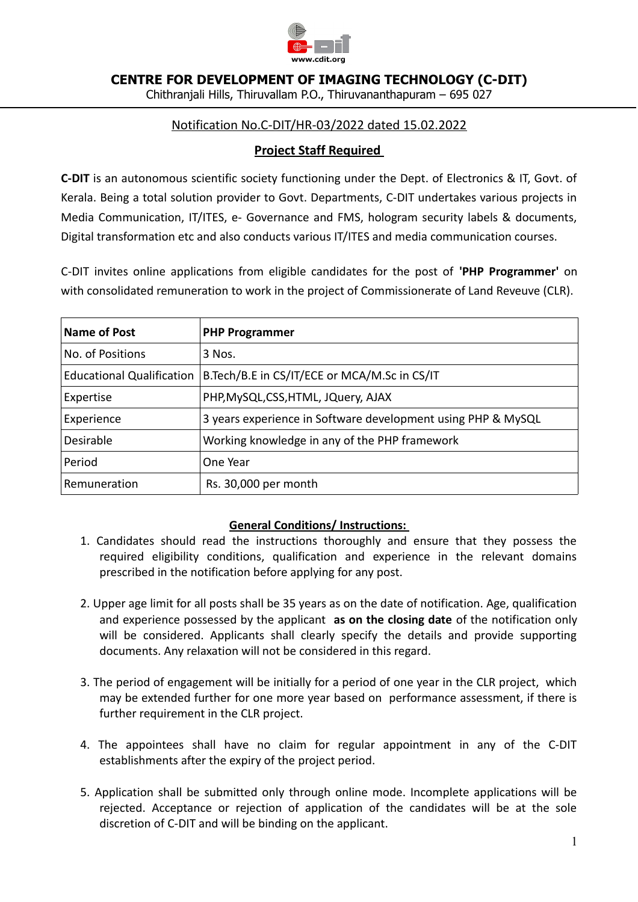

**CENTRE FOR DEVELOPMENT OF IMAGING TECHNOLOGY (C-DIT)**

Chithranjali Hills, Thiruvallam P.O., Thiruvananthapuram – 695 027

# Notification No.C-DIT/HR-03/2022 dated 15.02.2022

# **Project Staff Required**

**C-DIT** is an autonomous scientific society functioning under the Dept. of Electronics & IT, Govt. of Kerala. Being a total solution provider to Govt. Departments, C-DIT undertakes various projects in Media Communication, IT/ITES, e- Governance and FMS, hologram security labels & documents, Digital transformation etc and also conducts various IT/ITES and media communication courses.

C-DIT invites online applications from eligible candidates for the post of **'PHP Programmer'** on with consolidated remuneration to work in the project of Commissionerate of Land Reveuve (CLR).

| Name of Post                     | <b>PHP Programmer</b>                                        |
|----------------------------------|--------------------------------------------------------------|
| No. of Positions                 | 3 Nos.                                                       |
| <b>Educational Qualification</b> | B.Tech/B.E in CS/IT/ECE or MCA/M.Sc in CS/IT                 |
| Expertise                        | PHP, MySQL, CSS, HTML, JQuery, AJAX                          |
| Experience                       | 3 years experience in Software development using PHP & MySQL |
| <b>Desirable</b>                 | Working knowledge in any of the PHP framework                |
| Period                           | One Year                                                     |
| Remuneration                     | Rs. 30,000 per month                                         |

## **General Conditions/ Instructions:**

- 1. Candidates should read the instructions thoroughly and ensure that they possess the required eligibility conditions, qualification and experience in the relevant domains prescribed in the notification before applying for any post.
- 2. Upper age limit for all posts shall be 35 years as on the date of notification. Age, qualification and experience possessed by the applicant **as on the closing date** of the notification only will be considered. Applicants shall clearly specify the details and provide supporting documents. Any relaxation will not be considered in this regard.
- 3. The period of engagement will be initially for a period of one year in the CLR project, which may be extended further for one more year based on performance assessment, if there is further requirement in the CLR project.
- 4. The appointees shall have no claim for regular appointment in any of the C-DIT establishments after the expiry of the project period.
- 5. Application shall be submitted only through online mode. Incomplete applications will be rejected. Acceptance or rejection of application of the candidates will be at the sole discretion of C-DIT and will be binding on the applicant.